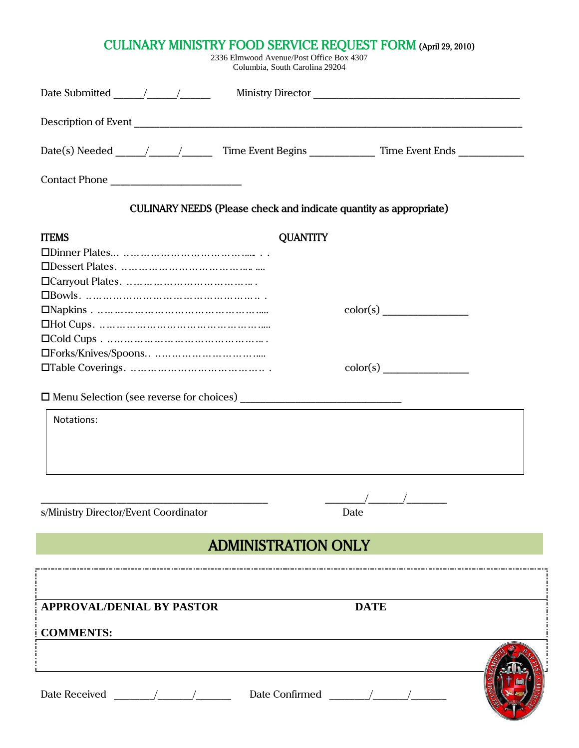| <b>CULINARY MINISTRY FOOD SERVICE REQUEST FORM (April 29, 2010)</b><br>2336 Elmwood Avenue/Post Office Box 4307<br>Columbia, South Carolina 29204 |                 |             |  |  |  |
|---------------------------------------------------------------------------------------------------------------------------------------------------|-----------------|-------------|--|--|--|
|                                                                                                                                                   |                 |             |  |  |  |
|                                                                                                                                                   |                 |             |  |  |  |
|                                                                                                                                                   |                 |             |  |  |  |
|                                                                                                                                                   |                 |             |  |  |  |
| CULINARY NEEDS (Please check and indicate quantity as appropriate)                                                                                |                 |             |  |  |  |
| <b>ITEMS</b>                                                                                                                                      | <b>QUANTITY</b> |             |  |  |  |
|                                                                                                                                                   |                 |             |  |  |  |
|                                                                                                                                                   |                 |             |  |  |  |
|                                                                                                                                                   |                 |             |  |  |  |
|                                                                                                                                                   |                 |             |  |  |  |
|                                                                                                                                                   |                 |             |  |  |  |
|                                                                                                                                                   |                 |             |  |  |  |
|                                                                                                                                                   |                 |             |  |  |  |
|                                                                                                                                                   |                 |             |  |  |  |
|                                                                                                                                                   |                 | color(s)    |  |  |  |
|                                                                                                                                                   |                 |             |  |  |  |
| Notations:                                                                                                                                        |                 |             |  |  |  |
|                                                                                                                                                   |                 |             |  |  |  |
|                                                                                                                                                   |                 |             |  |  |  |
|                                                                                                                                                   |                 |             |  |  |  |
|                                                                                                                                                   |                 |             |  |  |  |
|                                                                                                                                                   |                 | Date        |  |  |  |
| s/Ministry Director/Event Coordinator                                                                                                             |                 |             |  |  |  |
| <b>ADMINISTRATION ONLY</b>                                                                                                                        |                 |             |  |  |  |
|                                                                                                                                                   |                 |             |  |  |  |
|                                                                                                                                                   |                 |             |  |  |  |
| <b>APPROVAL/DENIAL BY PASTOR</b>                                                                                                                  |                 | <b>DATE</b> |  |  |  |
|                                                                                                                                                   |                 |             |  |  |  |
| <b>COMMENTS:</b>                                                                                                                                  |                 |             |  |  |  |
|                                                                                                                                                   |                 |             |  |  |  |
|                                                                                                                                                   |                 |             |  |  |  |